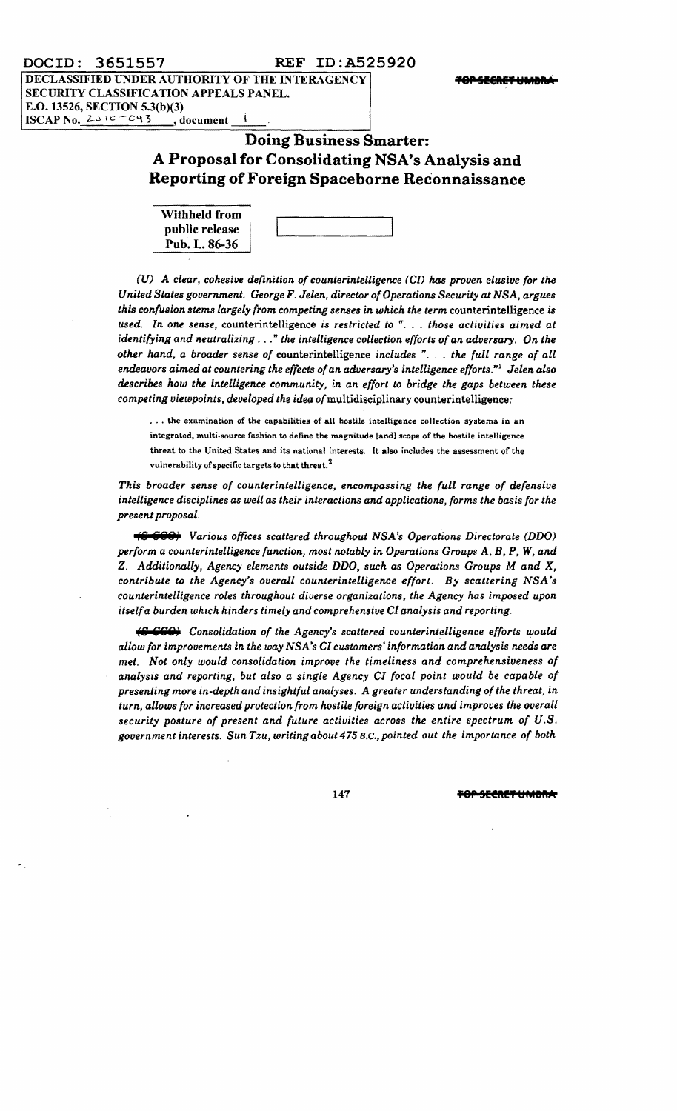**DECLASSIFIED UNDER AUTHORITY OF THE INTERAGENCY <b>THE INTERVALLE THE PERSEER THANK** SECURITY CLASSIFICATION APPEALS PANEL. E.O. 13526, SECTION 5.3(b)(3) ISCAP No.  $2e^{iC-C4}$  , document

# **Doing Business Smarter: A Proposal for Consolidating NSA's Analysis and Reporting ofForeign Spaceborne Reconnaissance**

| <b>Withheld from</b> |  |
|----------------------|--|
| public release       |  |
| Pub. L. 86-36        |  |

*(U)* A *clear, cohesive definition of counterintelligence (CI)* has *proven elusive for the United States government. George* F. *Jelen, director ofOperations Security* at *NSA, argues this confusion stems largely from competing senses in which the term* counterintelligence *is used. In one sense,* counterintelligence *is restricted to* ", .. *those activities aimed at identifying and neutralizing .* .. " *the intelligence collection efforts ofan adversary. On the other hand, a brooder sense of* counterintelligence *inclucks* "... *the full range of all enckavors ai.med* at *countering the effects ofan adversary's intelligence efforts."l Jelen also*  describes how the intelligence community, in an effort to bridge the gaps between these *competing viewpoints, developed the idea of*multidisciplinary counterintelligence:

... the examination of the capabilities of all hostile intelligence collection systems in an integrated, multi-source fashion to define the magnitude [and] scope of the hostile intelligence threat to the United States and its national interests, It also includes the assessment of the vulnerability of specific targets to that threat.<sup>2</sup>

*This broader sense of counterintelligence, encompassing the full range of defensive intelligence disciplines as well as their interactions and applications, forms the basis for the present proposal.* 

**(8 888)** *Various offices scattered throughout NSA's Operations Directorate (DDO) perform* a *counterintelligence function, most notably in Operations Groups* A. *B,* P, *W, and*  Z. *Additionally, Agency elements outsick DDO. such as Operations Groups M and* X, *contribute to the Agency's overall counterintelligence effort. By scattering NSA's counterintelligence roles throughout diverse organizations, the Agency has imposed upon itself* a *burden which hinders timely and comprehensive CI analysis and reporting.* 

**(S CCO)** Consolidation of the Agency's scattered counterintelligence efforts would *allow for improvements in the way NSA's CI customers' information and analysis needs are met. Not only would consolidation improve the timeliness and comprehensiveness of analysis and reporting, but also* a *single Agency CI focal point would be capable of presenting more in-ckpth and insightful analyses. A greater understanding ofthe threat, in turn, allows for increased protection from hostile foreign activities and improves the overall security posture of present and future activities across the entire spectrum of U.S. government interests. Sun Tzu, writing about* 475 B.C., *pointed out the importance of both* 

147 **TOP SEERET UMBIL**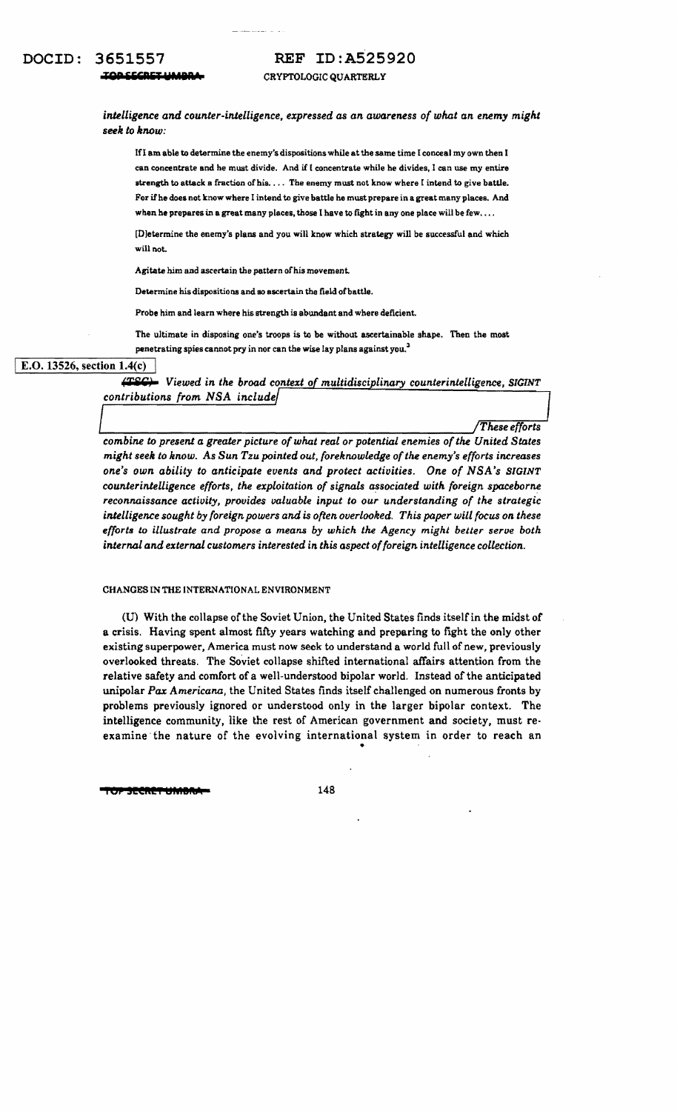### **REF ID:A525920**

CRYPTOLOGIC QUARTERLY

intelligence and counter-intelligence, expressed as an awareness of what an enemy might seek to know:

If I am able to determine the enemy's dispositions while at the same time I conceal my own then I can concentrate and he must divide. And if I concentrate while he divides, I can use my entire strength to attack a fraction of his. . . . The enemy must not know where I intend to give battle. For if he does not know where I intend to give battle he must prepare in a great many places. And when he prepares in a great many places, those I have to fight in any one place will be few....

[D]etermine the enemy's plans and you will know which strategy will be successful and which will not.

Agitate him and ascertain the pattern of his movement.

Determine his dispositions and so ascertain the field of battle.

Probe him and learn where his strength is abundant and where deficient.

The ultimate in disposing one's troops is to be without ascertainable shape. Then the most penetrating spies cannot pry in nor can the wise lay plans against you.<sup>3</sup>

### E.O. 13526, section  $1.4(c)$

(TSC) Viewed in the broad context of multidisciplinary counterintelligence, SIGINT contributions from NSA include

These efforts

combine to present a greater picture of what real or potential enemies of the United States might seek to know. As Sun Tzu pointed out, foreknowledge of the enemy's efforts increases one's own ability to anticipate events and protect activities. One of NSA's SIGINT counterintelligence efforts, the exploitation of signals associated with foreign spaceborne reconnaissance activity, provides valuable input to our understanding of the strategic intelligence sought by foreign powers and is often overlooked. This paper will focus on these efforts to illustrate and propose a means by which the Agency might better serve both internal and external customers interested in this aspect of foreign intelligence collection.

#### CHANGES IN THE INTERNATIONAL ENVIRONMENT

(U) With the collapse of the Soviet Union, the United States finds itself in the midst of a crisis. Having spent almost fifty years watching and preparing to fight the only other existing superpower, America must now seek to understand a world full of new, previously overlooked threats. The Soviet collapse shifted international affairs attention from the relative safety and comfort of a well-understood bipolar world. Instead of the anticipated unipolar Pax Americana, the United States finds itself challenged on numerous fronts by problems previously ignored or understood only in the larger bipolar context. The intelligence community, like the rest of American government and society, must reexamine the nature of the evolving international system in order to reach an

SECRET UMBRI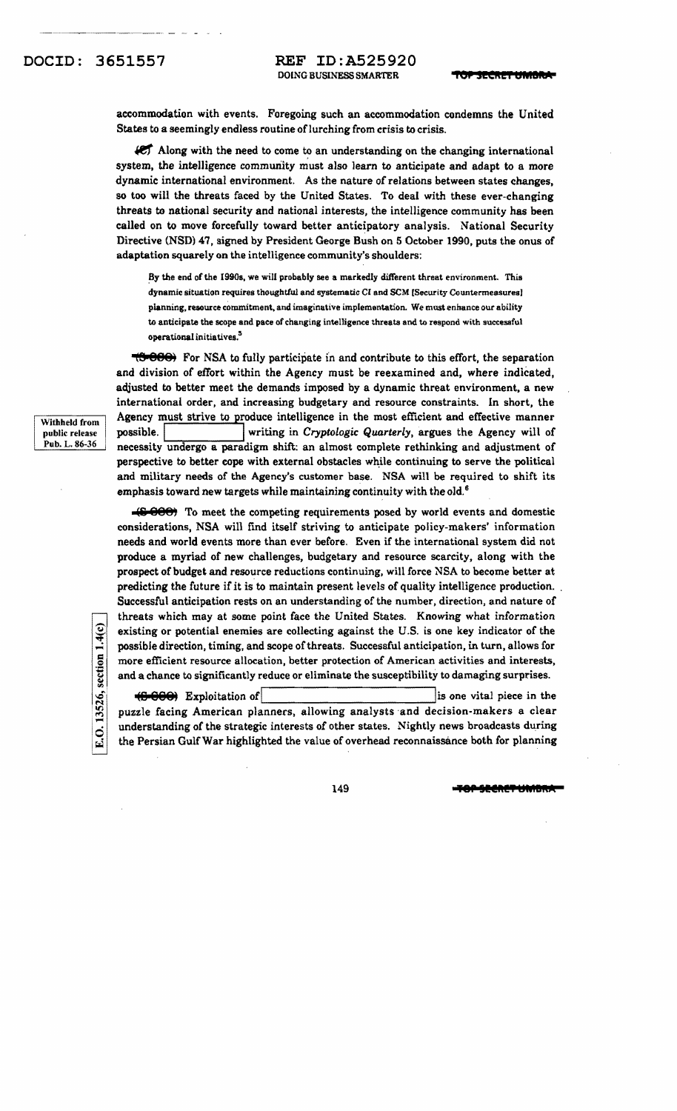accommodation with events. Foregoing such an accommodation condemns the United States to a seemingly endless routine of lurching from crisis to crisis.

ICT Along with the need to come to an understanding on the changing international system, the intelligence community must also learn to anticipate and adapt to a more dynamic international environment. As the nature of relations between states changes, so too will the threats faced by the United States. To deal with these ever-changing threats to national security and national interests, the intelligence community has been called on to move forcefully toward better anticipatory analysis. National Security Directive (NSD) 47. signed by President George Bush on 5 October 1990. puts the onus of adaptation squarely on the intelligence community's shoulders:

By the end of the 1990s, we will probably see a markedly different threat environment. This dynamic situation requires thoughtful and systematic Cl and SCM (Security Countermeasures I planning, resource commitment, and imaginative implementation. We must enhance our ability to anticipate the scope and pace of changing intelligence threats and to respond with successful operational initiatives.<sup>3</sup>

 $\overline{t}$ 888<sup> $\overline{0}$ </sup> For NSA to fully participate in and contribute to this effort, the separation and division of effort within the Agency must be reexamined and, where indicated, adjusted to better meet the demands imposed by a dynamic threat environment. a new international order, and increasing budgetary and resource constraints. In short, the  $\frac{1}{\text{Withhed from}}$  Agency must strive to produce intelligence in the most efficient and effective manner<br>public release possible. writing in Cryptologic Quarterly, argues the Agency will of writing in *Cryptologic Quarterly*, argues the Agency will of Pub. L. 86-36 necessity undergo a paradigm shift: an almost complete rethinking and adjustment of perspective to better cope with external obstacles while continuing to serve the political and military needs of the Agency's customer base. NSA will be required to shift its emphasis toward new targets while maintaining continuity with the old.<sup>6</sup>

> **-'&** @88' To meet the competing requirements posed by world events and domestic considerations, NSA will find itself striving to anticipate policy-makers' information needs and world events more than ever before. Even if the international system did not produce a myriad of new challenges, budgetary and resource scarcity, along with the prospect of budget and resource reductions continuing. will force NSA to become better at predicting the future if it is to maintain present levels of quality intelligence production. , Successful anticipation rests on an understanding of the number, direction, and nature of threats which may at some point face the United States. Knowing what information existing or potential enemies are collecting against the U.S. is one key indicator of the existing or potential enemies are collecting against the U.S. is one key indicator of the possible direction, timing, and scope of threats. Successful anticipation, in turn, allows for  $\frac{5}{5}$  more efficient resource al more efficient resource allocation, better protection of American activities and interests, and a chance to significantly reduce or eliminate the susceptibility to damaging surprises.

(8 888) Exploitation of list one vital piece in the puzzle facing American planners, allowing analysts 'and decision-makers a clear understanding of the strategic interests of other states. Nightly news broadcasts during the Persian Gulf War highlighted the value of overhead reconnaissance both for planning

public release

E.O. 13526, section 1.4(c)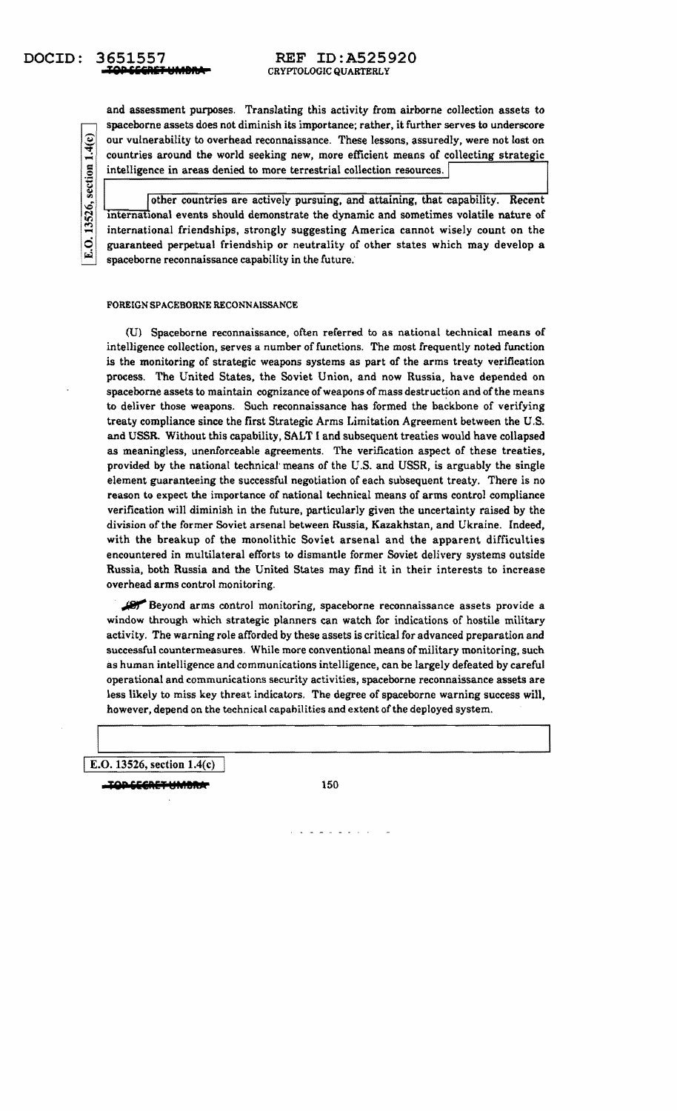# **Tep ili&fliT .. MaltA** CRYPTOLOGIC QUARTERLY

and assessment purposes. Translating this activity from airborne collection assets to spaceborne assets does not diminish its importance; rather, it further serves to underscore  $\left| \begin{array}{c} \mathbf{Q} \\ \hline \mathbf{H} \end{array} \right|$  our vulnerability to overhead reconnaissance. These lessons, assuredly, were not lost on countries around the world seeking new, more efficient means of collecting strategic countries around the world seeking new, more efficient means of collecting strategic intelligence in areas denied to more terrestrial collection resources.

.§ M

other countries are actively pursuing, and attaining, that capability. Recent international events should demonstrate the dynamic and sometimes volatile nature of international friendships, strongly suggesting America cannot wisely count on the guaranteed perpetual friendship or neutrality of other states which may develop a spaceborne reconnaissance capability in the future.

#### FOREIGN SPACEBORNE RECONNAISSANCE

(U) Spaceborne reconnaissance, often referred to as national technical means of intelligence collection, serves a number of functions. The most frequently noted function is the monitoring of strategic weapons systems as part of the arms treaty verification process. The United States, the Soviet Union, and now Russia, have depended on spaceborne assets to maintain cognizance of weapons of mass destruction and of the means to deliver those weapons. Such reconnaissance has formed the backbone of verifying treaty compliance since the first Strategic Arms Limitation Agreement between the U.S. and USSR. Without this capability, SALT I and subsequent treaties would have collapsed as meaningless, unenforceable agreements. The verification aspect of these treaties. provided by the national technical' means *ot* the U.s. and USSR, is arguably the single element guaranteeing the successful negotiation of each subsequent treaty. There is no reason to expect the importance of national technical means of arms control compliance verification will diminish in the future. particularly given the uncertainty raised by the division of the former Soviet arsenal between Russia, Kazakhstan, and Ukraine. Indeed, with the breakup of the monolithic Soviet arsenal and the apparent difficulties encountered in mUltilateral efforts to dismantle former Soviet deJivery systems outside Russia, both Russia and the United States may find it in their interests to increase overhead arms control monitoring.

. Beyond arms control monitoring, space borne reconnaissance assets provide a window through which strategic planners can watch for indications of hostile military activity. The warning role afforded by these assets is critical for advanced preparation and successful countermeasures. While more conventional means of military monitoring, such as human intelligence and communications intelligence, can be largely defeated by careful operational and communications security activities, spaceborne reconnaissance assets are less likely to miss key threat indicators. The degree of spaceborne warning success will, however, depend on the technical capabilities and extent of the deployed system.

IE.O. 13526, section 1.4(c)

**TQP SECRET UMBRAT** 150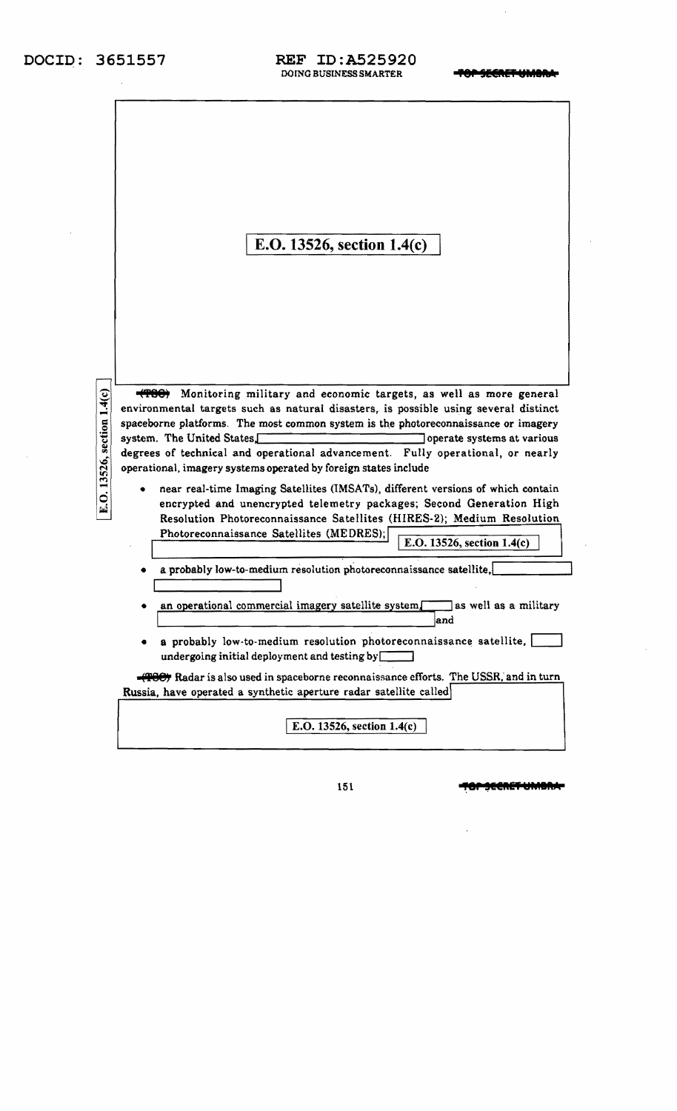$\hat{\boldsymbol{\beta}}$ 

 $\sim$   $\sim$ 

### **DOCID: 3651557 REF ID:A525920**  DOING BUSINESS SMARTER **TOP SECRET UMBIN**

|                            | E.O. 13526, section 1.4(c)                                                                                                                               |
|----------------------------|----------------------------------------------------------------------------------------------------------------------------------------------------------|
|                            | Monitoring military and economic targets, as well as more general<br>environmental targets such as natural disasters, is possible using several distinct |
|                            | spaceborne platforms. The most common system is the photoreconnaissance or imagery                                                                       |
| E.O. 13526, section 1.4(c) | system. The United States,<br>operate systems at various<br>degrees of technical and operational advancement. Fully operational, or nearly               |
|                            | operational, imagery systems operated by foreign states include                                                                                          |
|                            | near real-time Imaging Satellites (IMSATs), different versions of which contain<br>encrypted and unencrypted telemetry packages; Second Generation High  |
|                            | Resolution Photoreconnaissance Satellites (HIRES-2); Medium Resolution<br>Photoreconnaissance Satellites (MEDRES);                                       |
|                            | E.O. 13526, section 1.4(c)                                                                                                                               |
|                            | a probably low-to-medium resolution photoreconnaissance satellite,                                                                                       |
|                            | an operational commercial imagery satellite system. as well as a military<br>and                                                                         |
|                            | a probably low-to-medium resolution photoreconnaissance satellite,<br>undergoing initial deployment and testing by $\sqrt{\phantom{a}}$                  |
|                            | <b>(TOC)</b> Radar is also used in spaceborne reconnaissance efforts. The USSR, and in turn                                                              |
|                            | Russia, have operated a synthetic aperture radar satellite called                                                                                        |
|                            | E.O. 13526, section 1.4(c)                                                                                                                               |
|                            |                                                                                                                                                          |

151 **+80-SECRET UMBRA-**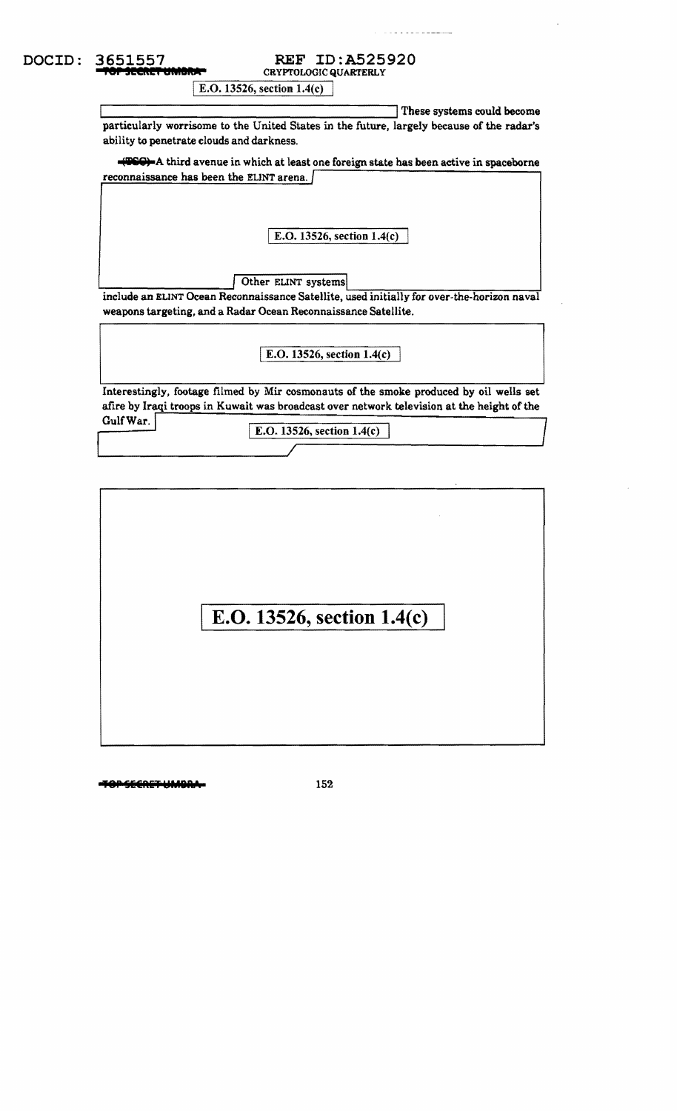**CRYPTOLOGIC QUARTERLY** 

E.O. 13526, section  $1.4(c)$ 

These systems could become particularly worrisome to the United States in the future, largely because of the radar's ability to penetrate clouds and darkness.

**(IIII)** A third avenue in which at least one foreign state has been active in spaceborne reconnaissance has been the ELlNT arena.

I E.O. 13526, section 1.4(c)

Other ELINT systems <br>include an ELINT Ocean Reconnaissance Satellite, used initially for over-the-horizon naval weapons targeting, and a Radar Ocean Reconnaissance Satellite.

I E.O. 13526, section 1.4(c)

Interestingly, footage filmed by Mir cosmonauts of the smoke produced by oil wells set afire by Iraqi troops in Kuwait was broadcast over network television at the height of the

Gulf War.

E.O. 13526, section  $1.4(c)$ Gulf War.<br>
E.O. 13526, section 1.4(c)

# **E.O. 13526, section 1.4(c)**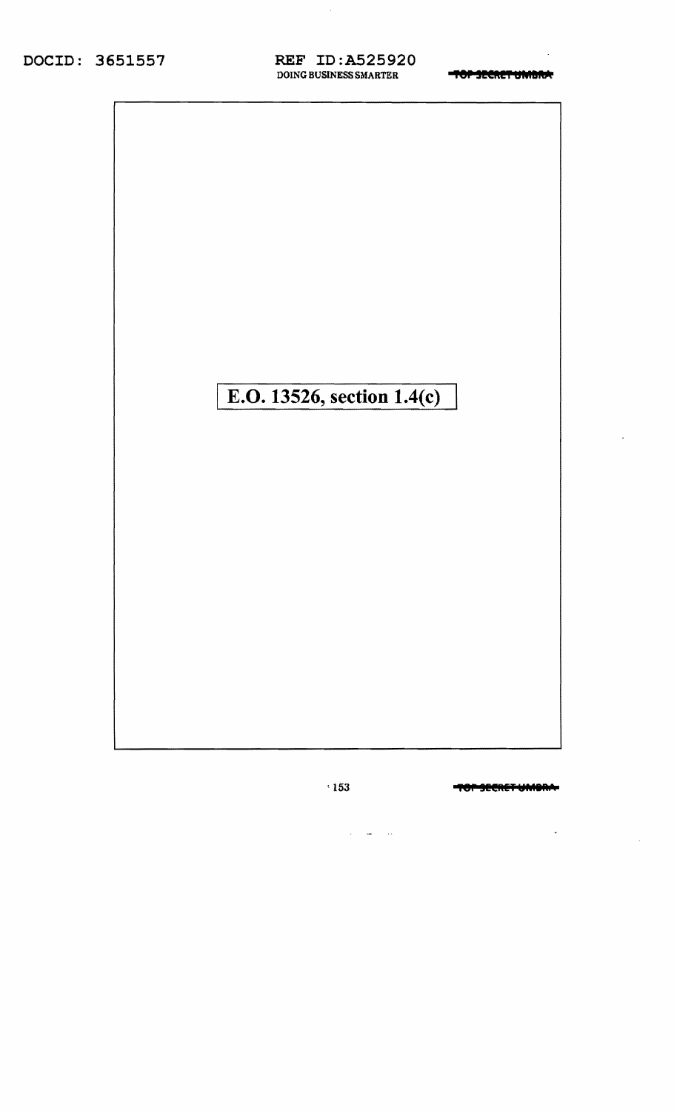TOP SECRET UMBRA



-TOP-SECRET-UMORA-

 $\overline{\phantom{a}}$ 

 $\sim$ 

 $\cdot$ 153

 $\omega_{\rm{max}}=0.000$ 

 $\sim$   $\sim$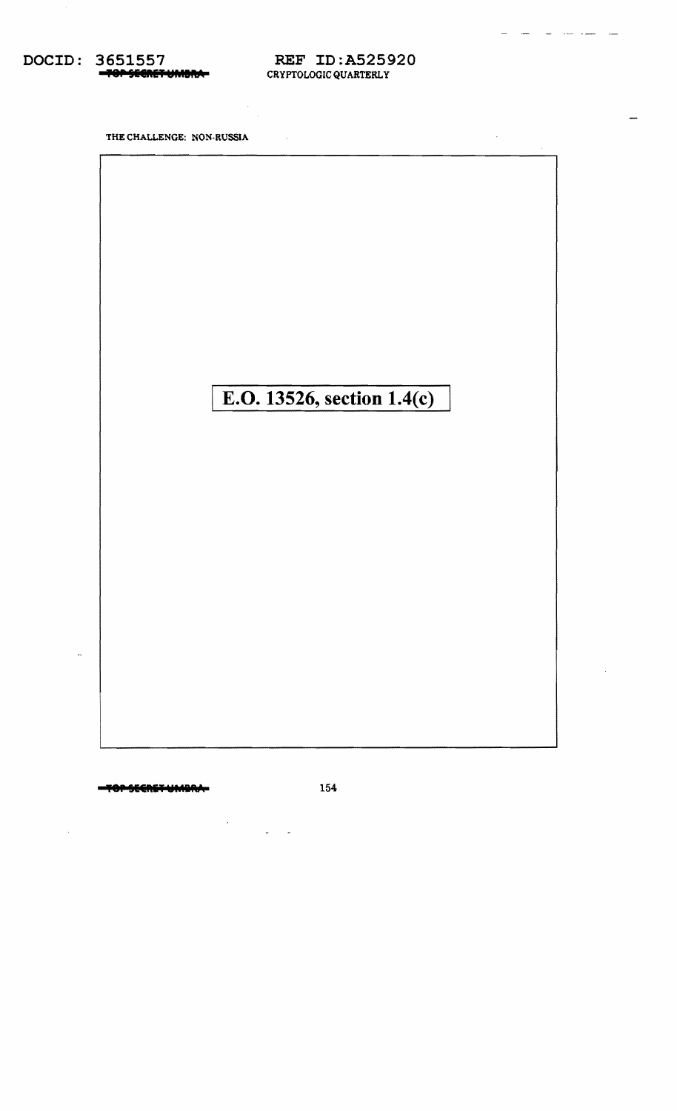DOCID: 3651557 SECRETUMONA-

**REF ID:A525920** CRYPTOLOGIC QUARTERLY

 $\sim 10$ 

مداد السدد

 $\bar{z}$ 

 $\sim 10$ 

THE CHALLENGE: NON-RUSSIA

# E.O. 13526, section 1.4(c)

OPSEEREFUMBRA

 $\bar{\star}$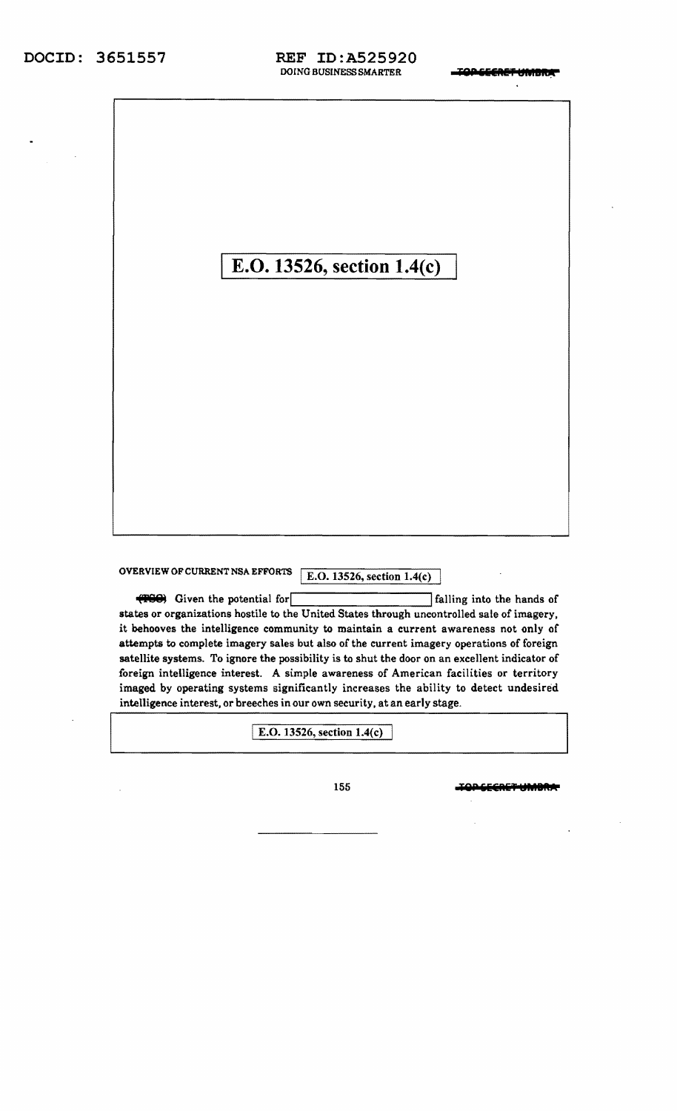E.O. 13526, section 1.4(c)

OVERVIEW OF CURRENT NSA EFFORTS  $\overline{E.O. 13526, \text{section } 1.4(c)}$ 

**(FGC)** Given the potential for **Ifalling** into the hands of states or organizations hostile to the United States through uncontrolled sale of imagery. it behooves the intelligence community to maintain a current awareness not only of attempts to complete imagery sales but also of the current imagery operations of foreign satellite systems. To ignore the possibility is to shut the door on an excellent indicator of foreign intelligence interest. A simple awareness of American facilities or territory imaged by operating systems significantly increases the ability to detect undesired intelligence interest, or breeches in our own security, at an early stage.

I E.O. 13526, section 1.4(c)

155 **TOP GEGRET UMBRITE**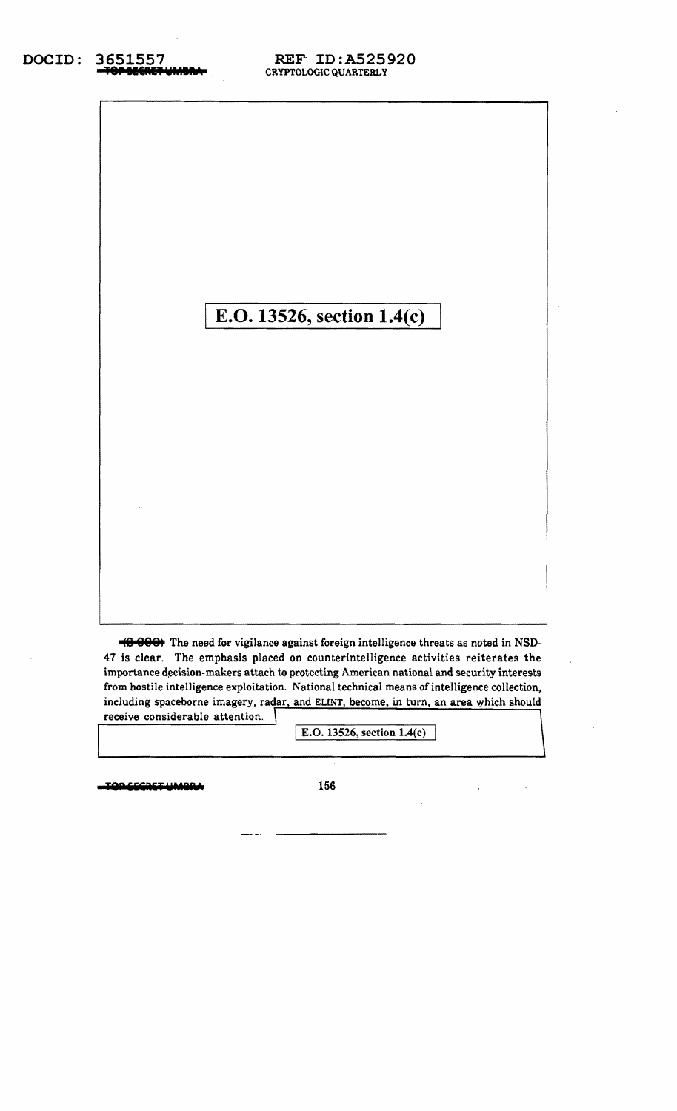# **E.O. 13526, section 1.4(c)**

**(8 888)** The need for vigilance against foreign intelligence threats as noted in NSD-47 is clear. The emphasis placed on counterintelligence activities reiterates the importance decision-makers attach to protecting American national and security interests from hostile intelligence exploitation. National technical means of intelligence collection, including spaceborne imagery, radar, and ELINT, become, in turn, an area which should receive considerable attention.

E.O. 13526, section 1.4(c)

**lep CCCRET UMBRA** 156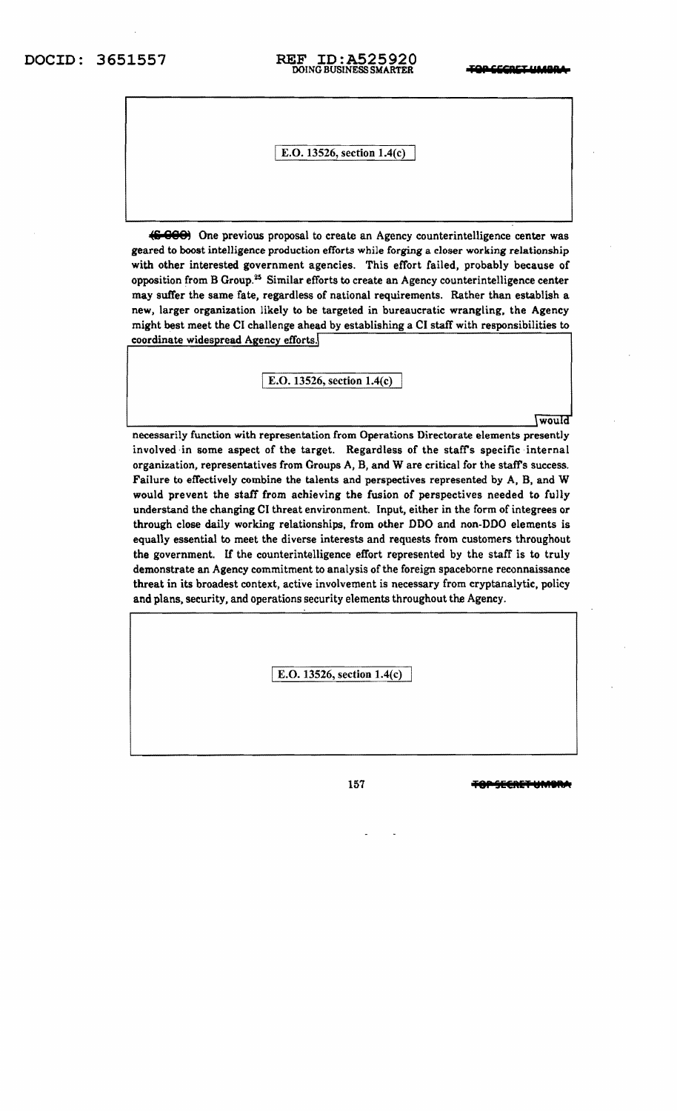# DOCID: 3651557 **REF ID:A525920** *<del>TOPSECRET UMBRA</del>*

### I E.O. 13526, section 1.4(c)

(6-000) One previous proposal to create an Agency counterintelligence center was geared to boost intelligence production efforts while forging a closer working relationship with other interested government agencies. This effort failed, probably because of opposition from B Group.25 Similar efforts to create an Agency counterintelligence center may suffer the same fate, regardless of national requirements. Rather than establish a new, larger organization likely to be targeted in bureaucratic wrangling, the Agency might best meet the CI challenge ahead by establishing a CI staff with responsibilities to coordinate widespread Agency efforts.

I E.O. 13526, section 1.4(c)

would

neeessarily function with representation from Operations Directorate elements presently involved in some aspect of the target. Regardless of the staff's specific internal organization, representatives from Groups A, B, and W are critical for the staff's success. Failure to effectively combine the talents and perspectives represented by A, B, and W would prevent the staff from achieving the fusion of perspectives needed to fully understand the changing CI threat environment. Input, either in the form of integrees or through close daily working relationships, from other DDO and non-DDO elements is equally essential to meet the diverse interests and requests from customers throughout the government. If the counterintelligence effort represented by the staff is to truly demonstrate an Agency commitment to analysis of the foreign spaceborne reconnaissance threat in its broadest context, active involvement is necessary from cryptanalytic, policy and plans, security, and operations security elements throughout the Agency.

I E.O. 13526, section 1.4(c)

157 **TOP SECRET UMB**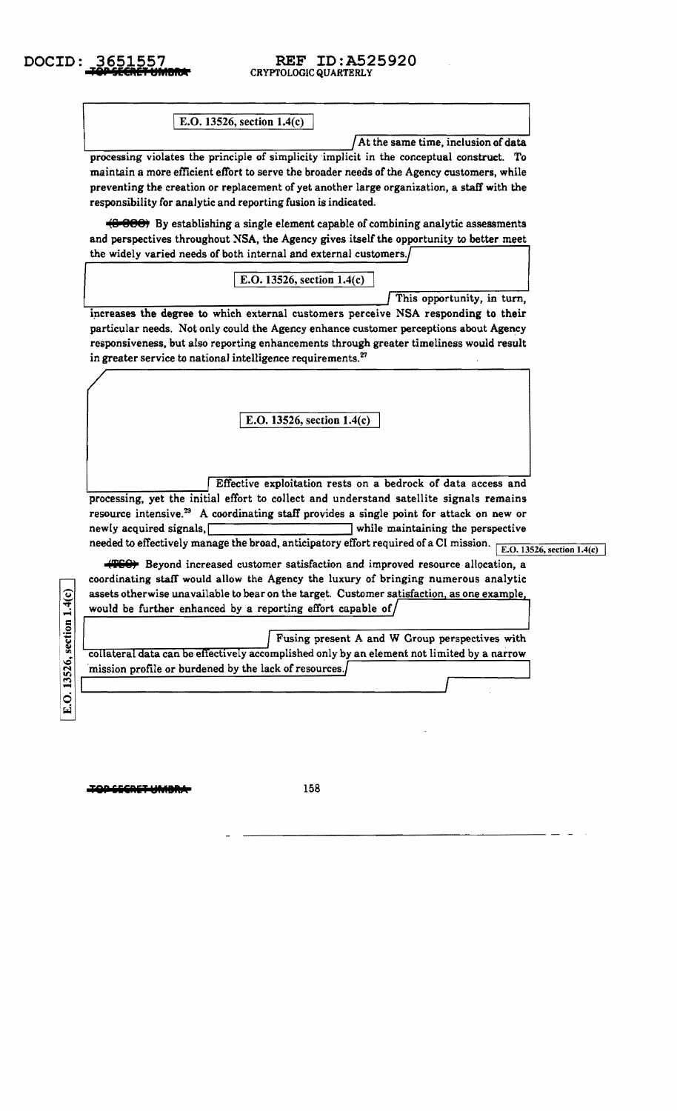# CRYPTOLOGIC QUARTERLY

E.O. 13526, section 1.4(c)

 $\int$ At the same time, inclusion of data processing violates the principle of simplicity implicit in the conceptual construct. To maintain a more efficient effort to serve the broader needs of the Agency customers, while preventing the creation or replacement of yet another large organization, a staff with the responsibility for analytic and reporting fusion is indicated.

(8 **888)** By establishing a single element capable of combining analytic assessments and perspectives throughout NSA, the Agency gives itself the opportunity to better meet the widely varied needs of both internal and external customers.

E.O. 13526, section  $1.4(c)$ 

 $\sim$  This opportunity, in turn,

increases the degree to which external customers perceive NSA responding to their particular needs. Not only could the Agency enhance customer perceptions about Agency responsiveness, but also reporting enhancements through greater timeliness would result in greater service to national intelligence requirements.<sup>27</sup>

E.O. 13526, section 1.4(c)

Effective exploitation rests on a bedrock of data access and processing, yet the initial effort to collect and understand satellite signals remains resource intensive.<sup>29</sup> A coordinating staff provides a single point for attack on new or newly acquired signals,I Iwhile maintaining the perspective needed to effectively manage the broad, anticipatory effort required of a CI mission.  $\sqrt{\text{E.O. 13526, section 1.4(c)}}$ 

(TGC) Beyond increased customer satisfaction and improved resource allocation, a coordinating staff' would allow the Agency the luxury of bringing numerous analytic assets otherwise unavailable to bear on the target. Customer satisfaction, as one example, would be further enhanced by a reporting effort capable of/

Fusing present A and W Group perspectives with collateral data can be effectively accomplished only by an element not limited by a narrow mission profile or burdened by the lack of resources./

E.O. 1 g.. 26, secti  $\frac{1}{2}$ 

**The Contract Windows** 258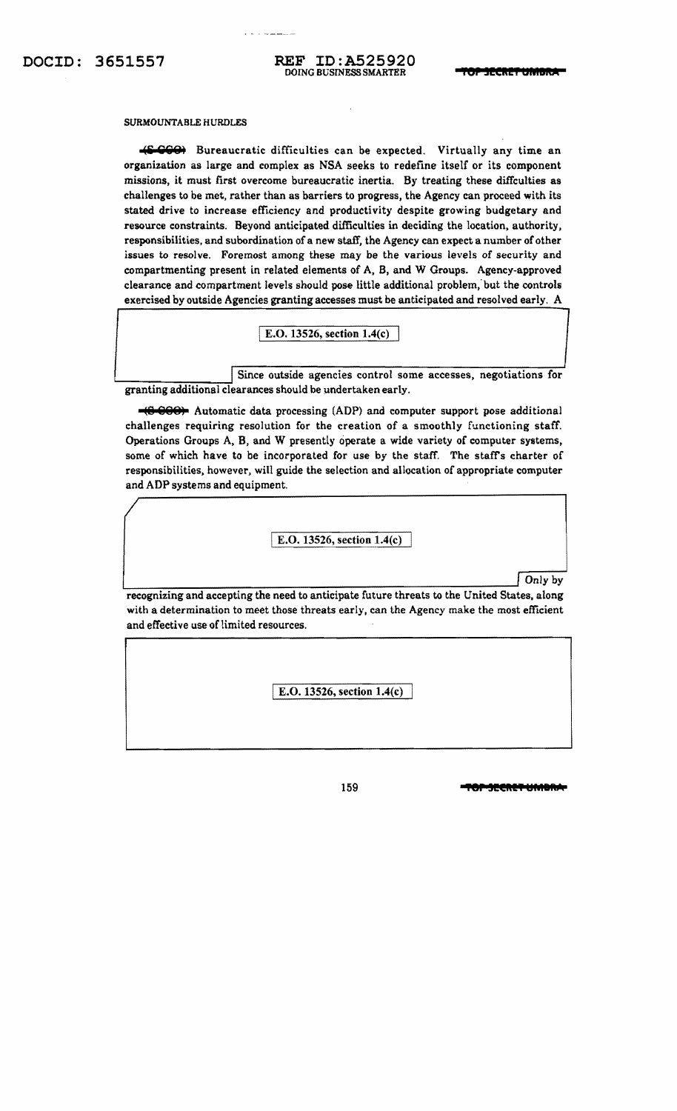#### SURMOUNTABLE HURDLES

**(S-999)** Bureaucratic difficulties can be expected. Virtually any time an organization as large and complex as NSA seeks to redefine itself or its component missions, it must first overcome bureaucratic inertia. By treating these diffculties as challenges to be met, rather than as barriers to progress, the Agency can proceed with its stated drive to increase efficiency and productivity despite growing budgetary and resource constraints. Beyond anticipated difficulties in deciding the location, authority, responsibilities, and subordination of a new staff, the Agency can expect a number of other issues to resolve. Foremost among these may be the various levels of security and compartmenting present in related elements of A, B. and W Groups. Agency-approved clearance and compartment levels should pose little additional problem,' but the controls exercised by outside Agencies granting accesses must be anticipated and resolved early. A

E.O. 13526, section 1.4(c)

Since outside agencies control some accesses, negotiations for  $\frac{1}{100}$  granting additional clearances should be undertaken early.

**t8 999)** Automatic data processing (ADP) and computer support pose additional challenges requiring resolution for the creation of a smoothly functioning staff. Operations Groups A. B, and W presently operate a wide variety of computer systems, some of which have to be incorporated for use by the staff. The staff's charter of responsibilities. however. will guide the selection and allocation of appropriate computer and ADP systems and equipment.

I E.O. 13526, section 1.4(c)

<u>Letter and the contract of the contract of the contract of the contract of the contract of the contract of the contract of the contract of the contract of the contract of the contract of the contract of the contract of th</u>

recognizing and accepting the need to anticipate future threats to the United States, along with a determination to meet those threats early, can the Agency make the most efficient and effective use of limited resources.

I E.O. 13526, section 1.4(c)

159 **fermalist in the second of the second in the second second in the second second in the second second second in the second second second second second second second second second second second second second second seco**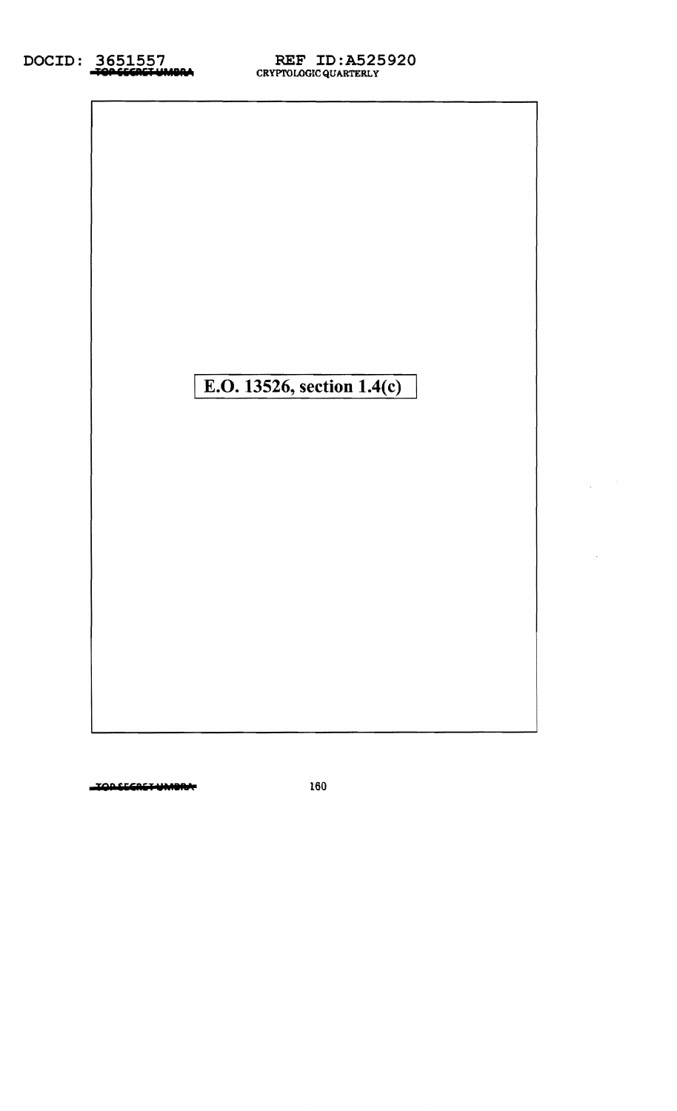| E.O. 13526, section 1.4(c) |  |
|----------------------------|--|
|                            |  |
|                            |  |
|                            |  |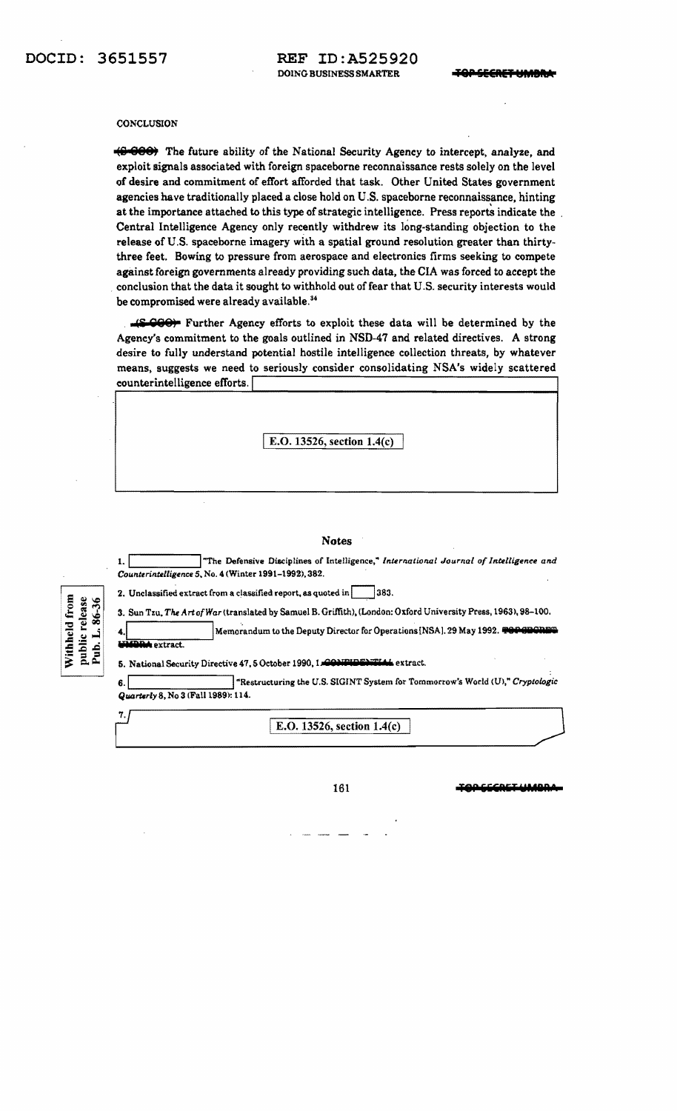#### **CONCLUSION**

**(S-660)** The future ability of the National Security Agency to intercept, analyze, and exploit signals associated with foreign spaceborne reconnaissance rests solely on the level of desire and commitment of effort afforded that task. Other United States government agencies have traditionally placed a close hold on U.S. spacehorne reconnaissance, hinting at the importance attached to this type of strategic intelligence. Press reports indicate the Central Intelligence Agency only recently withdrew its long-standing objection to the release of U.S. spaceborne imagery with a spatial ground resolution greater than thirty three feet. Bowing to pressure from aerospace and electronics firms seeking to compete against foreign governments already providing such data, the CIA was forced to accept the conclusion that the data it sought to withhold out of fear that U.S. security interests would he compromised were already available. <sup>34</sup>

**(£ 000)** Further Agency efforts to exploit these data will be determined by the Agency's commitment to the goals outlined in NSD-47 and related directives. A strong desire to fully understand potential hostile intelligence collection threats, by whatever means, suggests we need to seriously consider consolidating NSA's widely scattered counterintelligence efforts.

\ E.O. 13526, section 1.4(c)

#### Notes

1. The Defensive Disciplines of Intelligence," *International Journal of Intelligence and Counterintelligence* 5, No. 4 (Winter 1991-1992), 382.

| from    | release | نی<br>œ |
|---------|---------|---------|
| Ξd<br>ک | پ       |         |
| €       | Ξ<br>Ş  | Þ       |

| 2. Unclassified extract from a classified report, as quoted in | $\sqrt{383}$ . |
|----------------------------------------------------------------|----------------|

3. Sun Tzu, *TIt.e Art ofWar* (translated by Samuel B. Griffith), (London: Oxford University Press, 1963),98-100.

Memorandum to the Deputy Director for Operations [NSA]. 29 May 1992. <del>TOP CRORIN</del> **indiextract.** 

#### 5. National Security Directive 47.5 October 1990, 1.000 IFIDENTIAL extract.

6.\ I"Restructuring the U.S. SIGINT System for Tommortow's Wodd <m," *Cryptologic Quarterly* 8, No 3 (Fall 1989): 114. 11.......--\_\_\_\_\_/

7.  $E.O. 13526, section 1.4(c)$ 

161 TOP GEERET UMBRA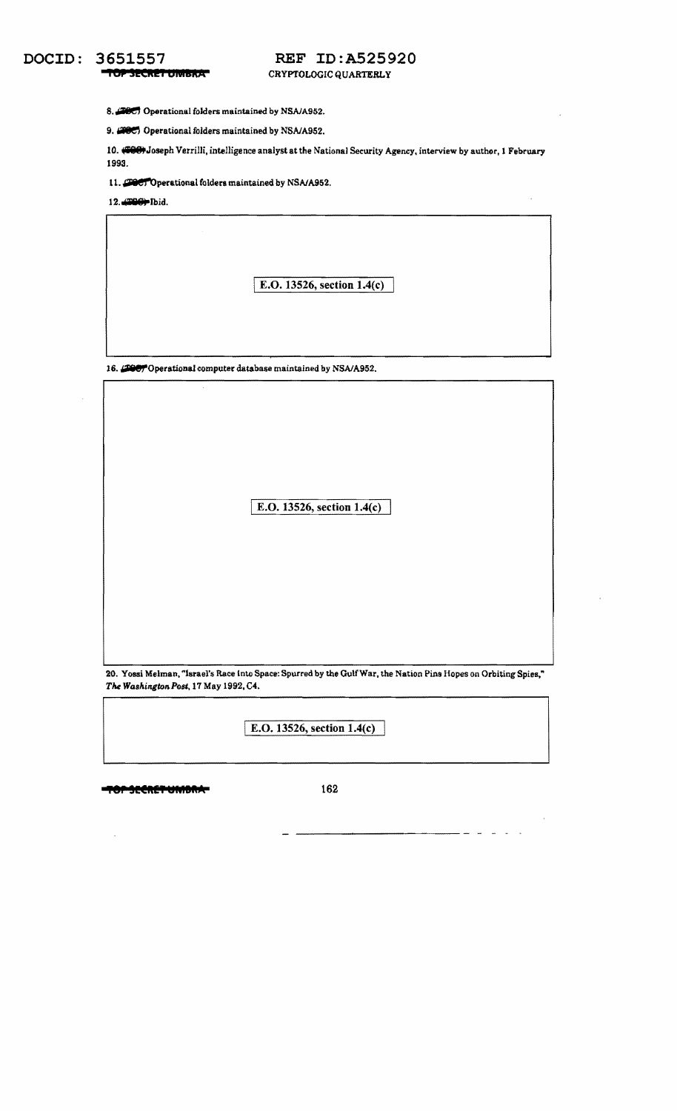# **DOCID: 3651557 REF ID:A525920**<br> **TOPSECRET UMBRATERLY** CRYPTOLOGIC QUARTERLY

8. **2007** Operational folders maintained by NSA/A952.

9. **(2005)** Operational folders maintained by NSA/A952.

10. #969 Joseph Verrilli, intelligence analyst at the National Security Agency, interview by author, 1 February 1993.

11. **THET** Operational folders maintained by NSA/A952.

12... DG+ Ibid.

I E.O. 13526, section 1.4(c)

16. **THE P**Operational computer database maintained by NSA/A952.

| $\lambda$                    |
|------------------------------|
|                              |
| E.O. 13526, section $1.4(c)$ |
|                              |
|                              |
|                              |

20. Yossi Melman, "Israel's Race tnto Space: Spurred by the GulfWar. the Nation Pins Hopes on Orbiting Spies," *The Washington Post, 17 May 1992, C4.* 

I E.O. 13526, section 1.4(c)

**••f UeR!? ..MBRA** 162

 $\overline{\phantom{a}}$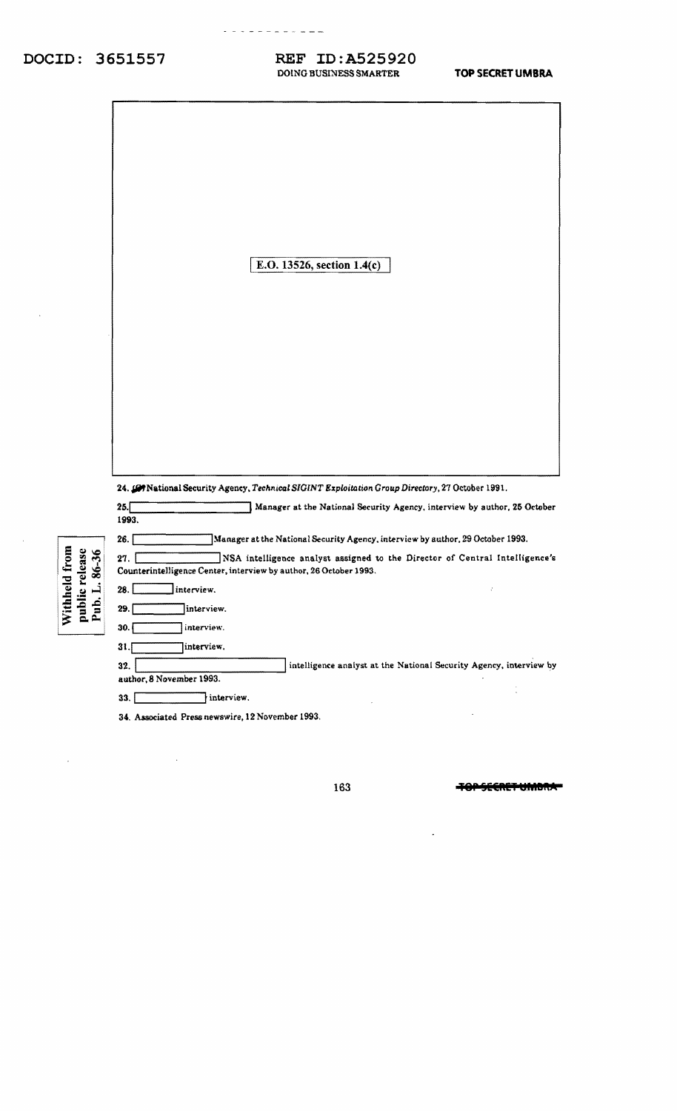### REF ID:A525920 DOING BUSINESS SMARTER

- - - - - - - <del>- -</del> -

|                                                                      | E.O. 13526, section 1.4(c)                                                                                                                                                                                                                                                                                            |
|----------------------------------------------------------------------|-----------------------------------------------------------------------------------------------------------------------------------------------------------------------------------------------------------------------------------------------------------------------------------------------------------------------|
|                                                                      |                                                                                                                                                                                                                                                                                                                       |
|                                                                      | 24. (G) National Security Agency, Technical SIGINT Exploitation Group Directory, 27 October 1991.<br>25.<br>Manager at the National Security Agency, interview by author, 25 October<br>1993.                                                                                                                         |
| Withheld from<br>public release<br>Pub. L. 86-36<br>release<br>86-36 | 26.<br>Manager at the National Security Agency, interview by author, 29 October 1993.<br>27.<br>NSA intelligence analyst assigned to the Director of Central Intelligence's<br>Counterintelligence Center, interview by author, 26 October 1993.<br>$28.$ [<br>  interview.<br>29.<br>interview.<br>30.<br>interview. |
|                                                                      | 31.<br>interview.<br>intelligence analyst at the National Security Agency, interview by<br>32.<br>author, 8 November 1993.<br>33.<br>interview.                                                                                                                                                                       |

34. Associated Press newswire, 12 November 1993.

 $\bar{\mathcal{A}}$ 

 $\hat{\boldsymbol{\beta}}$ 

TOPSECRET UMBRAT

 $\overline{\phantom{a}}$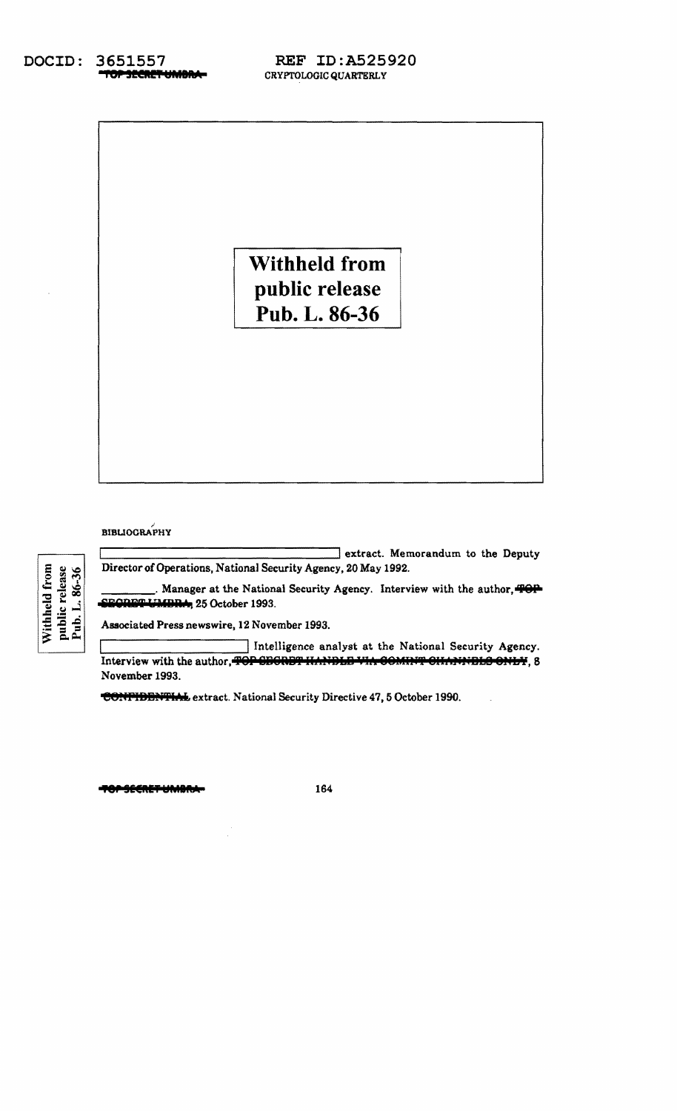3651557 DOCID: TOP SECRET UMBRA-

**Withheld from** public release Pub. L. 86-36

### **BIBLIOGRAPHY**

public release<br>Pub. L. 86-36 Withheld from

extract. Memorandum to the Deputy Director of Operations, National Security Agency, 20 May 1992.

Manager at the National Security Agency. Interview with the author, TOP SECRET UMBRA, 25 October 1993.

Associated Press newswire, 12 November 1993.

Intelligence analyst at the National Security Agency. Interview with the author, TOP CECRET HANDLE VIA COMINT CHANNELS ONLY, 8 November 1993.

CONTIDENTIAL extract. National Security Directive 47, 5 October 1990.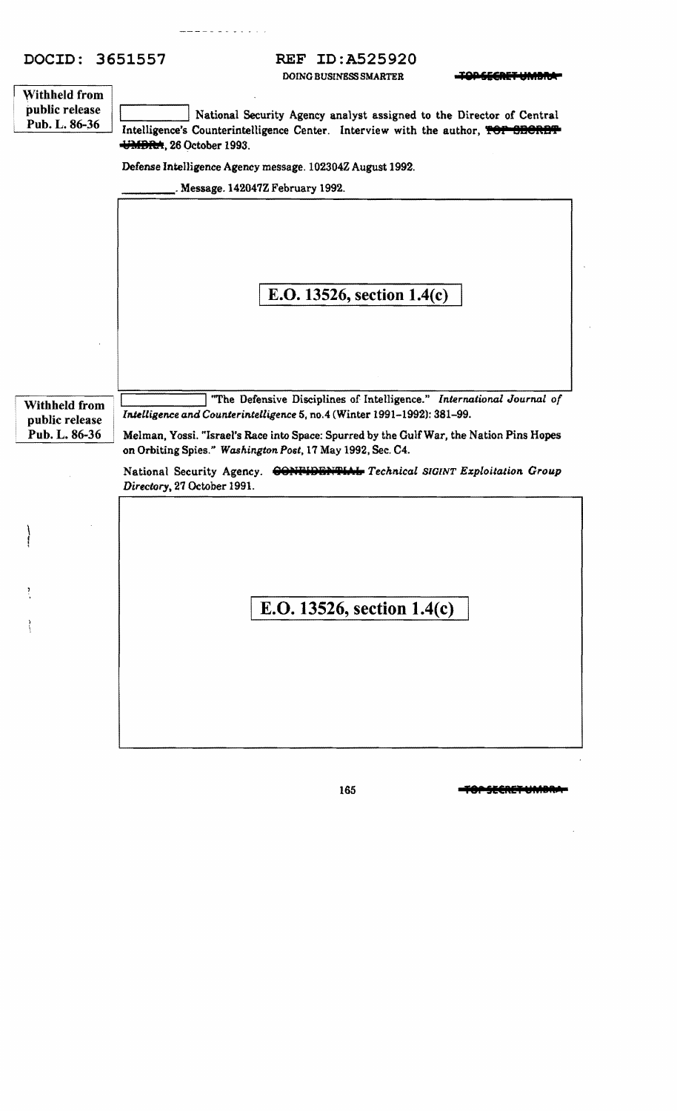DOING BUSINESS SMARTER **TOD CLOUP IN AREA** 

|                | DUING BUSINESS SMAKTEK<br><b>BUNGT UNIVER</b>                                                                |
|----------------|--------------------------------------------------------------------------------------------------------------|
| Withheld from  |                                                                                                              |
| public release | National Security Agency analyst assigned to the Director of Central                                         |
| Pub. L. 86-36  | Intelligence's Counterintelligence Center. Interview with the author, TOT SECRET                             |
|                | UMDRA, 26 October 1993.                                                                                      |
|                | Defense Intelligence Agency message. 102304Z August 1992.                                                    |
|                | Message. 142047Z February 1992.                                                                              |
|                |                                                                                                              |
|                | E.O. 13526, section $1.4(c)$                                                                                 |
|                |                                                                                                              |
| Withheld from  | "The Defensive Disciplines of Intelligence." International Journal of                                        |
| public release | Intelligence and Counterintelligence 5, no.4 (Winter 1991-1992): 381-99.                                     |
| Pub. L. 86-36  | Melman, Yossi. "Israel's Race into Space: Spurred by the Gulf War, the Nation Pins Hopes                     |
|                | on Orbiting Spies." Washington Post, 17 May 1992, Sec. C4.                                                   |
|                | CONFIDENTIAL Technical SIGINT Exploitation Group<br>National Security Agency.<br>Directory, 27 October 1991. |
|                |                                                                                                              |
|                |                                                                                                              |
|                |                                                                                                              |
|                | E.O. 13526, section 1.4(c)                                                                                   |
|                |                                                                                                              |
|                |                                                                                                              |
|                |                                                                                                              |
|                |                                                                                                              |
|                |                                                                                                              |
|                |                                                                                                              |
|                |                                                                                                              |
|                |                                                                                                              |

165 **- TOP SECRET UMBRA:** 

 $\bar{z}$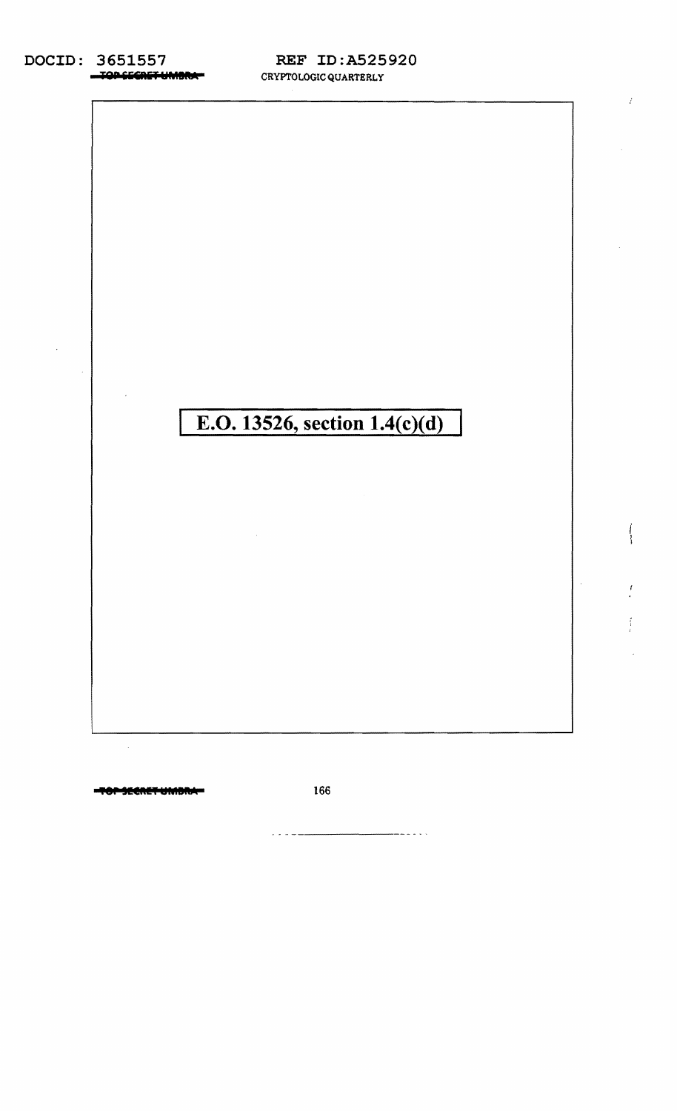### DOCID: 3651557 -TOP SECRET UMBRAT

## **REF ID:A525920** CRYPTOLOGIC QUARTERLY



O<del>r SECRET UMDRA-</del>

166

--------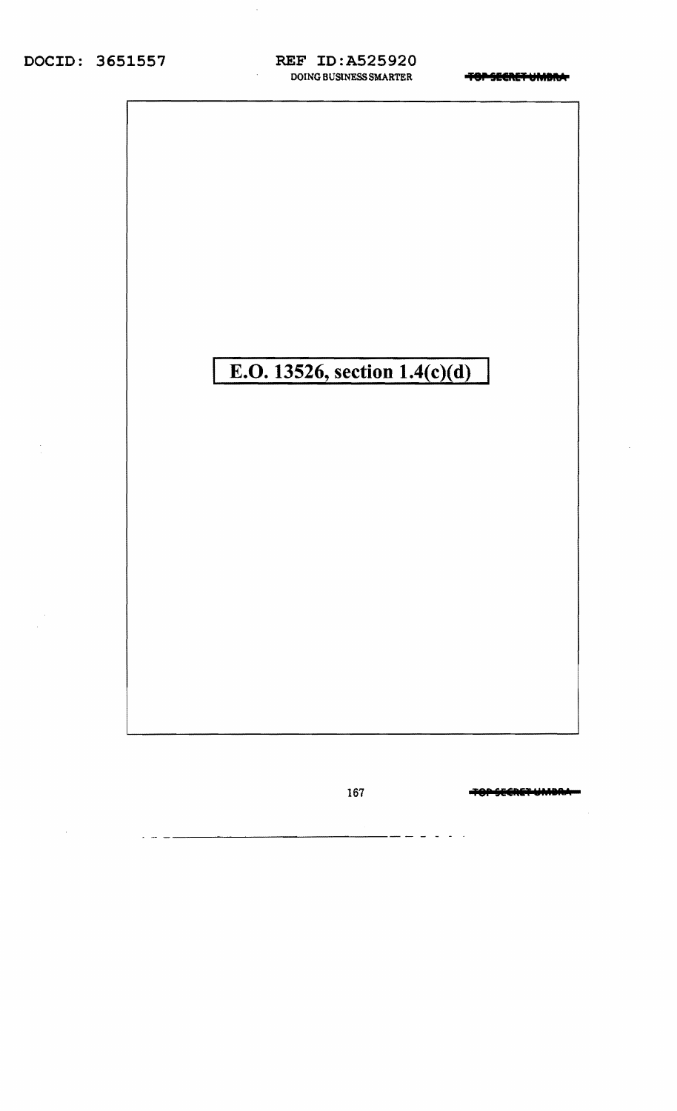# DOCID: 3651557

### **REF ID:A525920** DOING BUSINESS SMARTER

**TOPSEERETUMBING** 



-<del>TOP SECRET UMDR</del>I